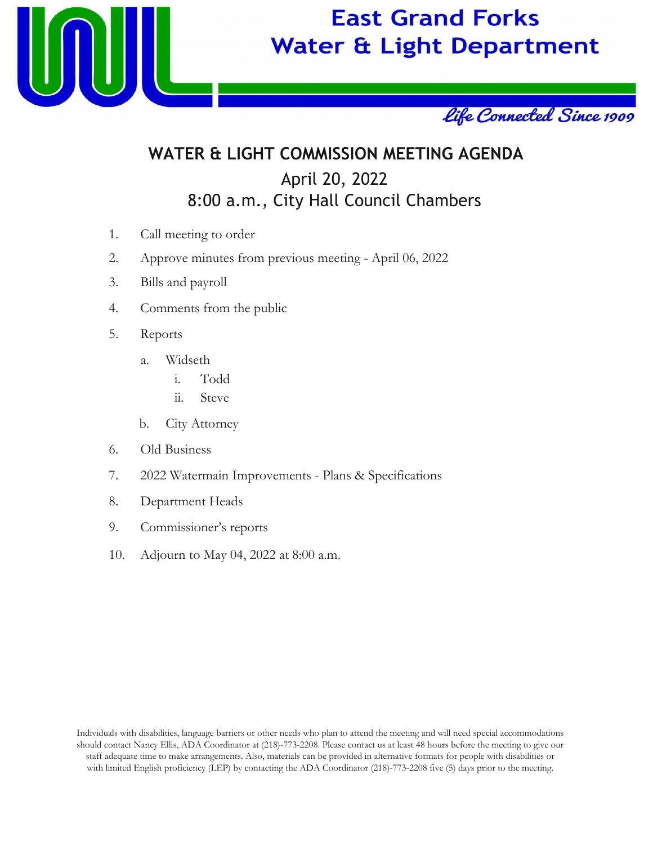

# **East Grand Forks Water & Light Department**



## **WATER & LIGHT COMMISSION MEETING AGENDA** April 20, 2022 8:00 a.m., City Hall Council Chambers

- 1. Call meeting to order
- 2. Approve minutes from previous meeting April 06, 2022
- 3. Bills and payroll
- 4. Comments from the public
- 5. Reports
	- a. Widseth
		- i. Todd
		- ii. Steve
	- b. City Attorney
- 6. Old Business
- 7. 2022 Watermain Improvements Plans & Specifications
- 8. Department Heads
- 9. Commissioner's reports
- 10. Adjourn to May 04, 2022 at 8:00 a.m.

Individuals with disabilities, language barriers or other needs who plan to attend the meeting and will need special accommodations should contact Nancy Ellis, ADA Coordinator at (218)-773-2208. Please contact us at least 48 hours before the meeting to give our staff adequate time to make arrangements. Also, materials can be provided in alternative formats for people with disabilities or with limited English proficiency (LEP) by contacting the ADA Coordinator (218)-773-2208 five (5) days prior to the meeting.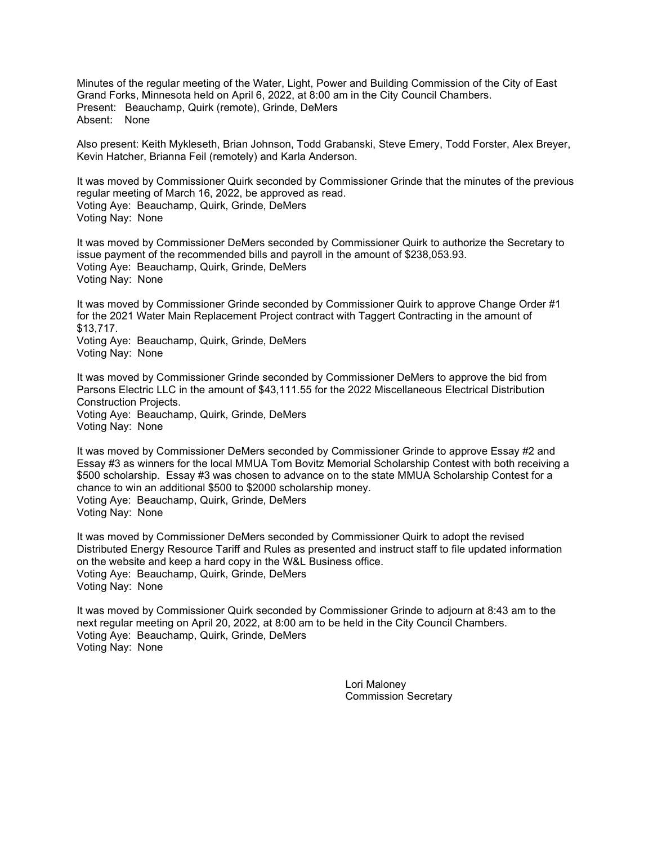Minutes of the regular meeting of the Water, Light, Power and Building Commission of the City of East Grand Forks, Minnesota held on April 6, 2022, at 8:00 am in the City Council Chambers. Present: Beauchamp, Quirk (remote), Grinde, DeMers Absent: None

Also present: Keith Mykleseth, Brian Johnson, Todd Grabanski, Steve Emery, Todd Forster, Alex Breyer, Kevin Hatcher, Brianna Feil (remotely) and Karla Anderson.

It was moved by Commissioner Quirk seconded by Commissioner Grinde that the minutes of the previous regular meeting of March 16, 2022, be approved as read. Voting Aye: Beauchamp, Quirk, Grinde, DeMers Voting Nay: None

It was moved by Commissioner DeMers seconded by Commissioner Quirk to authorize the Secretary to issue payment of the recommended bills and payroll in the amount of \$238,053.93. Voting Aye: Beauchamp, Quirk, Grinde, DeMers Voting Nay: None

It was moved by Commissioner Grinde seconded by Commissioner Quirk to approve Change Order #1 for the 2021 Water Main Replacement Project contract with Taggert Contracting in the amount of \$13,717. Voting Aye: Beauchamp, Quirk, Grinde, DeMers Voting Nay: None

It was moved by Commissioner Grinde seconded by Commissioner DeMers to approve the bid from Parsons Electric LLC in the amount of \$43,111.55 for the 2022 Miscellaneous Electrical Distribution Construction Projects. Voting Aye: Beauchamp, Quirk, Grinde, DeMers Voting Nay: None

It was moved by Commissioner DeMers seconded by Commissioner Grinde to approve Essay #2 and Essay #3 as winners for the local MMUA Tom Bovitz Memorial Scholarship Contest with both receiving a \$500 scholarship. Essay #3 was chosen to advance on to the state MMUA Scholarship Contest for a chance to win an additional \$500 to \$2000 scholarship money. Voting Aye: Beauchamp, Quirk, Grinde, DeMers Voting Nay: None

It was moved by Commissioner DeMers seconded by Commissioner Quirk to adopt the revised Distributed Energy Resource Tariff and Rules as presented and instruct staff to file updated information on the website and keep a hard copy in the W&L Business office. Voting Aye: Beauchamp, Quirk, Grinde, DeMers Voting Nay: None

It was moved by Commissioner Quirk seconded by Commissioner Grinde to adjourn at 8:43 am to the next regular meeting on April 20, 2022, at 8:00 am to be held in the City Council Chambers. Voting Aye: Beauchamp, Quirk, Grinde, DeMers Voting Nay: None

> Lori Maloney Commission Secretary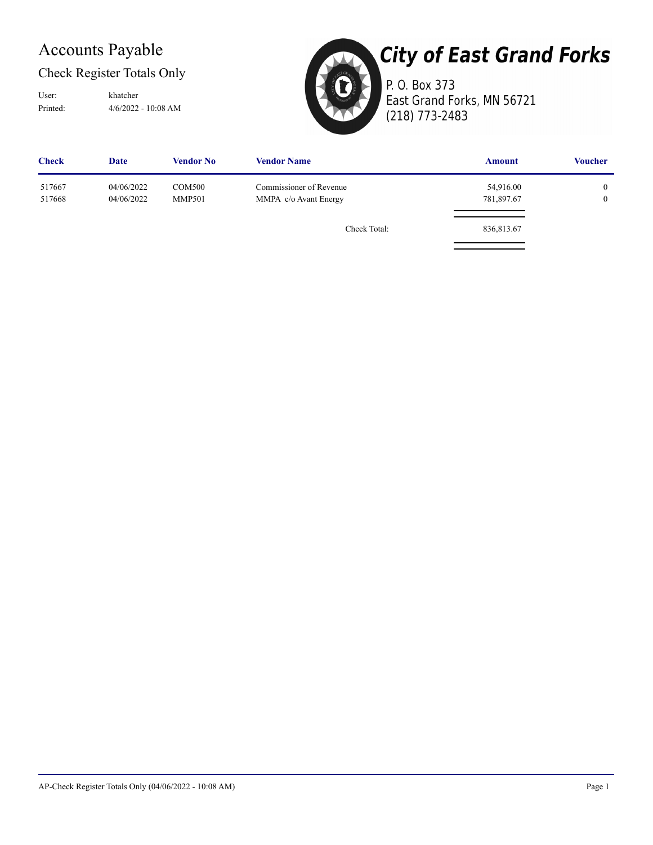## Accounts Payable

#### Check Register Totals Only

Printed: 4/6/2022 - 10:08 AM User: khatcher



# **City of East Grand Forks**

P. O. Box 373 East Grand Forks, MN 56721 (218) 773-2483

| <b>Check</b>     | <b>Date</b>              | <b>Vendor No</b>               | <b>Vendor Name</b>                               | <b>Amount</b>           | <b>Voucher</b>               |
|------------------|--------------------------|--------------------------------|--------------------------------------------------|-------------------------|------------------------------|
| 517667<br>517668 | 04/06/2022<br>04/06/2022 | <b>COM500</b><br><b>MMP501</b> | Commissioner of Revenue<br>MMPA c/o Avant Energy | 54,916.00<br>781,897.67 | $\mathbf{0}$<br>$\mathbf{0}$ |
|                  |                          |                                | Check Total:                                     | 836,813.67              |                              |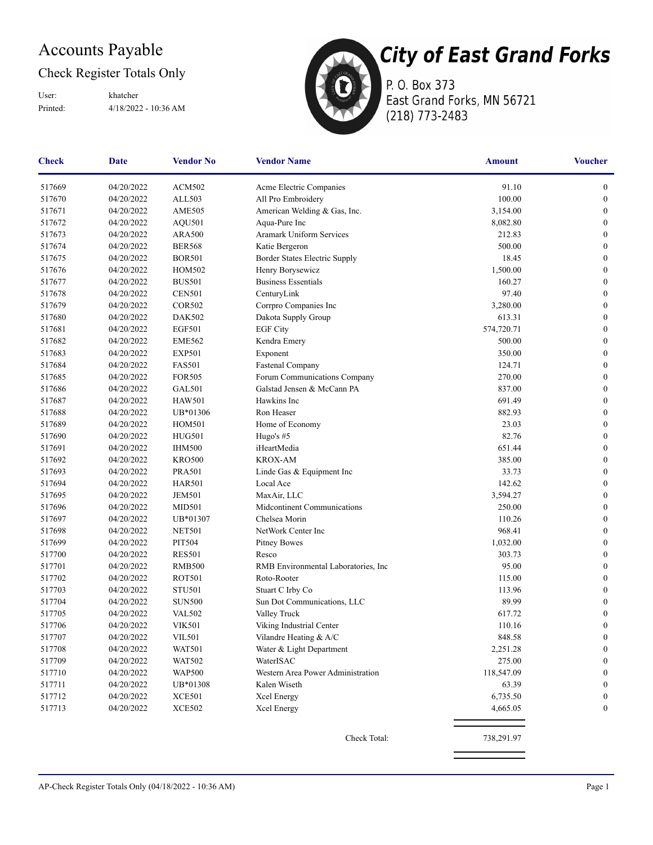## Accounts Payable

#### Check Register Totals Only

Printed: 4/18/2022 - 10:36 AM User: khatcher



P. O. Box 373 East Grand Forks, MN 56721 (218) 773-2483

| 04/20/2022<br><b>ACM502</b><br>91.10<br>517669<br>Acme Electric Companies<br>517670<br>ALL503<br>100.00<br>04/20/2022<br>All Pro Embroidery<br>517671<br>04/20/2022<br><b>AME505</b><br>American Welding & Gas, Inc.<br>3,154.00<br>517672<br>04/20/2022<br><b>AQU501</b><br>Aqua-Pure Inc<br>8,082.80<br><b>Aramark Uniform Services</b><br>517673<br>04/20/2022<br><b>ARA500</b><br>212.83<br>517674<br>500.00<br>04/20/2022<br><b>BER568</b><br>Katie Bergeron<br>18.45<br>517675<br>04/20/2022<br><b>BOR501</b><br>Border States Electric Supply<br>Henry Borysewicz<br>1,500.00<br>517676<br>04/20/2022<br><b>HOM502</b><br>517677<br><b>BUS501</b><br><b>Business Essentials</b><br>160.27<br>04/20/2022<br>CenturyLink<br>97.40<br>517678<br>04/20/2022<br><b>CEN501</b><br>517679<br>04/20/2022<br><b>COR502</b><br>Corrpro Companies Inc<br>3,280.00<br>517680<br>04/20/2022<br><b>DAK502</b><br>Dakota Supply Group<br>613.31<br>517681<br><b>EGF501</b><br><b>EGF City</b><br>574,720.71<br>04/20/2022<br>517682<br>04/20/2022<br>500.00<br><b>EME562</b><br>Kendra Emery<br>517683<br>04/20/2022<br><b>EXP501</b><br>Exponent<br>350.00<br>517684<br><b>FAS501</b><br>04/20/2022<br>Fastenal Company<br>124.71<br>517685<br>04/20/2022<br><b>FOR505</b><br>Forum Communications Company<br>270.00<br><b>GAL501</b><br>Galstad Jensen & McCann PA<br>837.00<br>517686<br>04/20/2022<br>517687<br><b>HAW501</b><br>Hawkins Inc<br>691.49<br>04/20/2022<br>UB*01306<br>Ron Heaser<br>882.93<br>517688<br>04/20/2022<br>23.03<br>517689<br>04/20/2022<br><b>HOM501</b><br>Home of Economy<br>517690<br>82.76<br>04/20/2022<br><b>HUG501</b><br>Hugo's #5<br>517691<br>iHeartMedia<br>651.44<br>04/20/2022<br><b>IHM500</b><br>385.00<br>517692<br>04/20/2022<br><b>KRO500</b><br><b>KROX-AM</b><br>33.73<br>517693<br>04/20/2022<br><b>PRA501</b><br>Linde Gas & Equipment Inc<br>517694<br><b>HAR501</b><br>Local Ace<br>142.62<br>04/20/2022<br>517695<br>04/20/2022<br><b>JEM501</b><br>MaxAir, LLC<br>3,594.27<br>517696<br>04/20/2022<br>Midcontinent Communications<br>250.00<br><b>MID501</b><br>517697<br>UB*01307<br>Chelsea Morin<br>110.26<br>04/20/2022<br>NetWork Center Inc<br>968.41<br>517698<br>04/20/2022<br><b>NET501</b><br>517699<br>04/20/2022<br><b>PIT504</b><br><b>Pitney Bowes</b><br>1,032.00<br><b>RES501</b><br>517700<br>04/20/2022<br>Resco<br>303.73<br>95.00<br>517701<br>04/20/2022<br><b>RMB500</b><br>RMB Environmental Laboratories, Inc.<br><b>ROT501</b><br>Roto-Rooter<br>517702<br>04/20/2022<br>115.00<br>517703<br>04/20/2022<br><b>STU501</b><br>Stuart C Irby Co<br>113.96<br>517704<br>89.99<br>04/20/2022<br><b>SUN500</b><br>Sun Dot Communications, LLC<br>517705<br>617.72<br>04/20/2022<br><b>VAL502</b><br>Valley Truck<br>517706<br>04/20/2022<br><b>VIK501</b><br>Viking Industrial Center<br>110.16<br>848.58<br>04/20/2022<br>Vilandre Heating & A/C<br><b>VIL501</b><br>517707<br>04/20/2022<br>Water & Light Department<br>517708<br><b>WAT501</b><br>2,251.28<br>517709<br>04/20/2022<br><b>WAT502</b><br>WaterISAC<br>275.00<br>517710<br>118,547.09<br>04/20/2022<br><b>WAP500</b><br>Western Area Power Administration<br>517711<br>04/20/2022<br>UB*01308<br>Kalen Wiseth<br>63.39<br>517712<br>XCE501<br>6,735.50<br>04/20/2022<br>Xcel Energy<br>517713<br><b>XCE502</b><br>04/20/2022<br>Xcel Energy<br>4,665.05 | <b>Check</b> | Date | <b>Vendor No</b> | <b>Vendor Name</b> | Amount | <b>Voucher</b>   |
|--------------------------------------------------------------------------------------------------------------------------------------------------------------------------------------------------------------------------------------------------------------------------------------------------------------------------------------------------------------------------------------------------------------------------------------------------------------------------------------------------------------------------------------------------------------------------------------------------------------------------------------------------------------------------------------------------------------------------------------------------------------------------------------------------------------------------------------------------------------------------------------------------------------------------------------------------------------------------------------------------------------------------------------------------------------------------------------------------------------------------------------------------------------------------------------------------------------------------------------------------------------------------------------------------------------------------------------------------------------------------------------------------------------------------------------------------------------------------------------------------------------------------------------------------------------------------------------------------------------------------------------------------------------------------------------------------------------------------------------------------------------------------------------------------------------------------------------------------------------------------------------------------------------------------------------------------------------------------------------------------------------------------------------------------------------------------------------------------------------------------------------------------------------------------------------------------------------------------------------------------------------------------------------------------------------------------------------------------------------------------------------------------------------------------------------------------------------------------------------------------------------------------------------------------------------------------------------------------------------------------------------------------------------------------------------------------------------------------------------------------------------------------------------------------------------------------------------------------------------------------------------------------------------------------------------------------------------------------------------------------------------------------------------------------------------------------------------------------------------------------------------------------------------------------------------------------------------------------------------------------------------------------------------------------------------------------------------------------------------------------------------------|--------------|------|------------------|--------------------|--------|------------------|
|                                                                                                                                                                                                                                                                                                                                                                                                                                                                                                                                                                                                                                                                                                                                                                                                                                                                                                                                                                                                                                                                                                                                                                                                                                                                                                                                                                                                                                                                                                                                                                                                                                                                                                                                                                                                                                                                                                                                                                                                                                                                                                                                                                                                                                                                                                                                                                                                                                                                                                                                                                                                                                                                                                                                                                                                                                                                                                                                                                                                                                                                                                                                                                                                                                                                                                                                                                                            |              |      |                  |                    |        | $\boldsymbol{0}$ |
|                                                                                                                                                                                                                                                                                                                                                                                                                                                                                                                                                                                                                                                                                                                                                                                                                                                                                                                                                                                                                                                                                                                                                                                                                                                                                                                                                                                                                                                                                                                                                                                                                                                                                                                                                                                                                                                                                                                                                                                                                                                                                                                                                                                                                                                                                                                                                                                                                                                                                                                                                                                                                                                                                                                                                                                                                                                                                                                                                                                                                                                                                                                                                                                                                                                                                                                                                                                            |              |      |                  |                    |        | $\boldsymbol{0}$ |
|                                                                                                                                                                                                                                                                                                                                                                                                                                                                                                                                                                                                                                                                                                                                                                                                                                                                                                                                                                                                                                                                                                                                                                                                                                                                                                                                                                                                                                                                                                                                                                                                                                                                                                                                                                                                                                                                                                                                                                                                                                                                                                                                                                                                                                                                                                                                                                                                                                                                                                                                                                                                                                                                                                                                                                                                                                                                                                                                                                                                                                                                                                                                                                                                                                                                                                                                                                                            |              |      |                  |                    |        | $\boldsymbol{0}$ |
|                                                                                                                                                                                                                                                                                                                                                                                                                                                                                                                                                                                                                                                                                                                                                                                                                                                                                                                                                                                                                                                                                                                                                                                                                                                                                                                                                                                                                                                                                                                                                                                                                                                                                                                                                                                                                                                                                                                                                                                                                                                                                                                                                                                                                                                                                                                                                                                                                                                                                                                                                                                                                                                                                                                                                                                                                                                                                                                                                                                                                                                                                                                                                                                                                                                                                                                                                                                            |              |      |                  |                    |        | $\boldsymbol{0}$ |
|                                                                                                                                                                                                                                                                                                                                                                                                                                                                                                                                                                                                                                                                                                                                                                                                                                                                                                                                                                                                                                                                                                                                                                                                                                                                                                                                                                                                                                                                                                                                                                                                                                                                                                                                                                                                                                                                                                                                                                                                                                                                                                                                                                                                                                                                                                                                                                                                                                                                                                                                                                                                                                                                                                                                                                                                                                                                                                                                                                                                                                                                                                                                                                                                                                                                                                                                                                                            |              |      |                  |                    |        | $\boldsymbol{0}$ |
|                                                                                                                                                                                                                                                                                                                                                                                                                                                                                                                                                                                                                                                                                                                                                                                                                                                                                                                                                                                                                                                                                                                                                                                                                                                                                                                                                                                                                                                                                                                                                                                                                                                                                                                                                                                                                                                                                                                                                                                                                                                                                                                                                                                                                                                                                                                                                                                                                                                                                                                                                                                                                                                                                                                                                                                                                                                                                                                                                                                                                                                                                                                                                                                                                                                                                                                                                                                            |              |      |                  |                    |        | $\boldsymbol{0}$ |
|                                                                                                                                                                                                                                                                                                                                                                                                                                                                                                                                                                                                                                                                                                                                                                                                                                                                                                                                                                                                                                                                                                                                                                                                                                                                                                                                                                                                                                                                                                                                                                                                                                                                                                                                                                                                                                                                                                                                                                                                                                                                                                                                                                                                                                                                                                                                                                                                                                                                                                                                                                                                                                                                                                                                                                                                                                                                                                                                                                                                                                                                                                                                                                                                                                                                                                                                                                                            |              |      |                  |                    |        | $\boldsymbol{0}$ |
|                                                                                                                                                                                                                                                                                                                                                                                                                                                                                                                                                                                                                                                                                                                                                                                                                                                                                                                                                                                                                                                                                                                                                                                                                                                                                                                                                                                                                                                                                                                                                                                                                                                                                                                                                                                                                                                                                                                                                                                                                                                                                                                                                                                                                                                                                                                                                                                                                                                                                                                                                                                                                                                                                                                                                                                                                                                                                                                                                                                                                                                                                                                                                                                                                                                                                                                                                                                            |              |      |                  |                    |        | $\boldsymbol{0}$ |
|                                                                                                                                                                                                                                                                                                                                                                                                                                                                                                                                                                                                                                                                                                                                                                                                                                                                                                                                                                                                                                                                                                                                                                                                                                                                                                                                                                                                                                                                                                                                                                                                                                                                                                                                                                                                                                                                                                                                                                                                                                                                                                                                                                                                                                                                                                                                                                                                                                                                                                                                                                                                                                                                                                                                                                                                                                                                                                                                                                                                                                                                                                                                                                                                                                                                                                                                                                                            |              |      |                  |                    |        | $\boldsymbol{0}$ |
|                                                                                                                                                                                                                                                                                                                                                                                                                                                                                                                                                                                                                                                                                                                                                                                                                                                                                                                                                                                                                                                                                                                                                                                                                                                                                                                                                                                                                                                                                                                                                                                                                                                                                                                                                                                                                                                                                                                                                                                                                                                                                                                                                                                                                                                                                                                                                                                                                                                                                                                                                                                                                                                                                                                                                                                                                                                                                                                                                                                                                                                                                                                                                                                                                                                                                                                                                                                            |              |      |                  |                    |        | $\boldsymbol{0}$ |
|                                                                                                                                                                                                                                                                                                                                                                                                                                                                                                                                                                                                                                                                                                                                                                                                                                                                                                                                                                                                                                                                                                                                                                                                                                                                                                                                                                                                                                                                                                                                                                                                                                                                                                                                                                                                                                                                                                                                                                                                                                                                                                                                                                                                                                                                                                                                                                                                                                                                                                                                                                                                                                                                                                                                                                                                                                                                                                                                                                                                                                                                                                                                                                                                                                                                                                                                                                                            |              |      |                  |                    |        | $\boldsymbol{0}$ |
|                                                                                                                                                                                                                                                                                                                                                                                                                                                                                                                                                                                                                                                                                                                                                                                                                                                                                                                                                                                                                                                                                                                                                                                                                                                                                                                                                                                                                                                                                                                                                                                                                                                                                                                                                                                                                                                                                                                                                                                                                                                                                                                                                                                                                                                                                                                                                                                                                                                                                                                                                                                                                                                                                                                                                                                                                                                                                                                                                                                                                                                                                                                                                                                                                                                                                                                                                                                            |              |      |                  |                    |        | $\boldsymbol{0}$ |
|                                                                                                                                                                                                                                                                                                                                                                                                                                                                                                                                                                                                                                                                                                                                                                                                                                                                                                                                                                                                                                                                                                                                                                                                                                                                                                                                                                                                                                                                                                                                                                                                                                                                                                                                                                                                                                                                                                                                                                                                                                                                                                                                                                                                                                                                                                                                                                                                                                                                                                                                                                                                                                                                                                                                                                                                                                                                                                                                                                                                                                                                                                                                                                                                                                                                                                                                                                                            |              |      |                  |                    |        | $\boldsymbol{0}$ |
|                                                                                                                                                                                                                                                                                                                                                                                                                                                                                                                                                                                                                                                                                                                                                                                                                                                                                                                                                                                                                                                                                                                                                                                                                                                                                                                                                                                                                                                                                                                                                                                                                                                                                                                                                                                                                                                                                                                                                                                                                                                                                                                                                                                                                                                                                                                                                                                                                                                                                                                                                                                                                                                                                                                                                                                                                                                                                                                                                                                                                                                                                                                                                                                                                                                                                                                                                                                            |              |      |                  |                    |        | $\boldsymbol{0}$ |
|                                                                                                                                                                                                                                                                                                                                                                                                                                                                                                                                                                                                                                                                                                                                                                                                                                                                                                                                                                                                                                                                                                                                                                                                                                                                                                                                                                                                                                                                                                                                                                                                                                                                                                                                                                                                                                                                                                                                                                                                                                                                                                                                                                                                                                                                                                                                                                                                                                                                                                                                                                                                                                                                                                                                                                                                                                                                                                                                                                                                                                                                                                                                                                                                                                                                                                                                                                                            |              |      |                  |                    |        | $\boldsymbol{0}$ |
|                                                                                                                                                                                                                                                                                                                                                                                                                                                                                                                                                                                                                                                                                                                                                                                                                                                                                                                                                                                                                                                                                                                                                                                                                                                                                                                                                                                                                                                                                                                                                                                                                                                                                                                                                                                                                                                                                                                                                                                                                                                                                                                                                                                                                                                                                                                                                                                                                                                                                                                                                                                                                                                                                                                                                                                                                                                                                                                                                                                                                                                                                                                                                                                                                                                                                                                                                                                            |              |      |                  |                    |        | $\boldsymbol{0}$ |
|                                                                                                                                                                                                                                                                                                                                                                                                                                                                                                                                                                                                                                                                                                                                                                                                                                                                                                                                                                                                                                                                                                                                                                                                                                                                                                                                                                                                                                                                                                                                                                                                                                                                                                                                                                                                                                                                                                                                                                                                                                                                                                                                                                                                                                                                                                                                                                                                                                                                                                                                                                                                                                                                                                                                                                                                                                                                                                                                                                                                                                                                                                                                                                                                                                                                                                                                                                                            |              |      |                  |                    |        | $\boldsymbol{0}$ |
|                                                                                                                                                                                                                                                                                                                                                                                                                                                                                                                                                                                                                                                                                                                                                                                                                                                                                                                                                                                                                                                                                                                                                                                                                                                                                                                                                                                                                                                                                                                                                                                                                                                                                                                                                                                                                                                                                                                                                                                                                                                                                                                                                                                                                                                                                                                                                                                                                                                                                                                                                                                                                                                                                                                                                                                                                                                                                                                                                                                                                                                                                                                                                                                                                                                                                                                                                                                            |              |      |                  |                    |        | $\boldsymbol{0}$ |
|                                                                                                                                                                                                                                                                                                                                                                                                                                                                                                                                                                                                                                                                                                                                                                                                                                                                                                                                                                                                                                                                                                                                                                                                                                                                                                                                                                                                                                                                                                                                                                                                                                                                                                                                                                                                                                                                                                                                                                                                                                                                                                                                                                                                                                                                                                                                                                                                                                                                                                                                                                                                                                                                                                                                                                                                                                                                                                                                                                                                                                                                                                                                                                                                                                                                                                                                                                                            |              |      |                  |                    |        | $\boldsymbol{0}$ |
|                                                                                                                                                                                                                                                                                                                                                                                                                                                                                                                                                                                                                                                                                                                                                                                                                                                                                                                                                                                                                                                                                                                                                                                                                                                                                                                                                                                                                                                                                                                                                                                                                                                                                                                                                                                                                                                                                                                                                                                                                                                                                                                                                                                                                                                                                                                                                                                                                                                                                                                                                                                                                                                                                                                                                                                                                                                                                                                                                                                                                                                                                                                                                                                                                                                                                                                                                                                            |              |      |                  |                    |        | $\boldsymbol{0}$ |
|                                                                                                                                                                                                                                                                                                                                                                                                                                                                                                                                                                                                                                                                                                                                                                                                                                                                                                                                                                                                                                                                                                                                                                                                                                                                                                                                                                                                                                                                                                                                                                                                                                                                                                                                                                                                                                                                                                                                                                                                                                                                                                                                                                                                                                                                                                                                                                                                                                                                                                                                                                                                                                                                                                                                                                                                                                                                                                                                                                                                                                                                                                                                                                                                                                                                                                                                                                                            |              |      |                  |                    |        | $\boldsymbol{0}$ |
|                                                                                                                                                                                                                                                                                                                                                                                                                                                                                                                                                                                                                                                                                                                                                                                                                                                                                                                                                                                                                                                                                                                                                                                                                                                                                                                                                                                                                                                                                                                                                                                                                                                                                                                                                                                                                                                                                                                                                                                                                                                                                                                                                                                                                                                                                                                                                                                                                                                                                                                                                                                                                                                                                                                                                                                                                                                                                                                                                                                                                                                                                                                                                                                                                                                                                                                                                                                            |              |      |                  |                    |        | $\boldsymbol{0}$ |
|                                                                                                                                                                                                                                                                                                                                                                                                                                                                                                                                                                                                                                                                                                                                                                                                                                                                                                                                                                                                                                                                                                                                                                                                                                                                                                                                                                                                                                                                                                                                                                                                                                                                                                                                                                                                                                                                                                                                                                                                                                                                                                                                                                                                                                                                                                                                                                                                                                                                                                                                                                                                                                                                                                                                                                                                                                                                                                                                                                                                                                                                                                                                                                                                                                                                                                                                                                                            |              |      |                  |                    |        | $\boldsymbol{0}$ |
|                                                                                                                                                                                                                                                                                                                                                                                                                                                                                                                                                                                                                                                                                                                                                                                                                                                                                                                                                                                                                                                                                                                                                                                                                                                                                                                                                                                                                                                                                                                                                                                                                                                                                                                                                                                                                                                                                                                                                                                                                                                                                                                                                                                                                                                                                                                                                                                                                                                                                                                                                                                                                                                                                                                                                                                                                                                                                                                                                                                                                                                                                                                                                                                                                                                                                                                                                                                            |              |      |                  |                    |        | $\boldsymbol{0}$ |
|                                                                                                                                                                                                                                                                                                                                                                                                                                                                                                                                                                                                                                                                                                                                                                                                                                                                                                                                                                                                                                                                                                                                                                                                                                                                                                                                                                                                                                                                                                                                                                                                                                                                                                                                                                                                                                                                                                                                                                                                                                                                                                                                                                                                                                                                                                                                                                                                                                                                                                                                                                                                                                                                                                                                                                                                                                                                                                                                                                                                                                                                                                                                                                                                                                                                                                                                                                                            |              |      |                  |                    |        | $\boldsymbol{0}$ |
|                                                                                                                                                                                                                                                                                                                                                                                                                                                                                                                                                                                                                                                                                                                                                                                                                                                                                                                                                                                                                                                                                                                                                                                                                                                                                                                                                                                                                                                                                                                                                                                                                                                                                                                                                                                                                                                                                                                                                                                                                                                                                                                                                                                                                                                                                                                                                                                                                                                                                                                                                                                                                                                                                                                                                                                                                                                                                                                                                                                                                                                                                                                                                                                                                                                                                                                                                                                            |              |      |                  |                    |        | $\boldsymbol{0}$ |
|                                                                                                                                                                                                                                                                                                                                                                                                                                                                                                                                                                                                                                                                                                                                                                                                                                                                                                                                                                                                                                                                                                                                                                                                                                                                                                                                                                                                                                                                                                                                                                                                                                                                                                                                                                                                                                                                                                                                                                                                                                                                                                                                                                                                                                                                                                                                                                                                                                                                                                                                                                                                                                                                                                                                                                                                                                                                                                                                                                                                                                                                                                                                                                                                                                                                                                                                                                                            |              |      |                  |                    |        | $\boldsymbol{0}$ |
|                                                                                                                                                                                                                                                                                                                                                                                                                                                                                                                                                                                                                                                                                                                                                                                                                                                                                                                                                                                                                                                                                                                                                                                                                                                                                                                                                                                                                                                                                                                                                                                                                                                                                                                                                                                                                                                                                                                                                                                                                                                                                                                                                                                                                                                                                                                                                                                                                                                                                                                                                                                                                                                                                                                                                                                                                                                                                                                                                                                                                                                                                                                                                                                                                                                                                                                                                                                            |              |      |                  |                    |        | $\boldsymbol{0}$ |
|                                                                                                                                                                                                                                                                                                                                                                                                                                                                                                                                                                                                                                                                                                                                                                                                                                                                                                                                                                                                                                                                                                                                                                                                                                                                                                                                                                                                                                                                                                                                                                                                                                                                                                                                                                                                                                                                                                                                                                                                                                                                                                                                                                                                                                                                                                                                                                                                                                                                                                                                                                                                                                                                                                                                                                                                                                                                                                                                                                                                                                                                                                                                                                                                                                                                                                                                                                                            |              |      |                  |                    |        | $\boldsymbol{0}$ |
|                                                                                                                                                                                                                                                                                                                                                                                                                                                                                                                                                                                                                                                                                                                                                                                                                                                                                                                                                                                                                                                                                                                                                                                                                                                                                                                                                                                                                                                                                                                                                                                                                                                                                                                                                                                                                                                                                                                                                                                                                                                                                                                                                                                                                                                                                                                                                                                                                                                                                                                                                                                                                                                                                                                                                                                                                                                                                                                                                                                                                                                                                                                                                                                                                                                                                                                                                                                            |              |      |                  |                    |        | $\boldsymbol{0}$ |
|                                                                                                                                                                                                                                                                                                                                                                                                                                                                                                                                                                                                                                                                                                                                                                                                                                                                                                                                                                                                                                                                                                                                                                                                                                                                                                                                                                                                                                                                                                                                                                                                                                                                                                                                                                                                                                                                                                                                                                                                                                                                                                                                                                                                                                                                                                                                                                                                                                                                                                                                                                                                                                                                                                                                                                                                                                                                                                                                                                                                                                                                                                                                                                                                                                                                                                                                                                                            |              |      |                  |                    |        | $\boldsymbol{0}$ |
|                                                                                                                                                                                                                                                                                                                                                                                                                                                                                                                                                                                                                                                                                                                                                                                                                                                                                                                                                                                                                                                                                                                                                                                                                                                                                                                                                                                                                                                                                                                                                                                                                                                                                                                                                                                                                                                                                                                                                                                                                                                                                                                                                                                                                                                                                                                                                                                                                                                                                                                                                                                                                                                                                                                                                                                                                                                                                                                                                                                                                                                                                                                                                                                                                                                                                                                                                                                            |              |      |                  |                    |        | $\boldsymbol{0}$ |
|                                                                                                                                                                                                                                                                                                                                                                                                                                                                                                                                                                                                                                                                                                                                                                                                                                                                                                                                                                                                                                                                                                                                                                                                                                                                                                                                                                                                                                                                                                                                                                                                                                                                                                                                                                                                                                                                                                                                                                                                                                                                                                                                                                                                                                                                                                                                                                                                                                                                                                                                                                                                                                                                                                                                                                                                                                                                                                                                                                                                                                                                                                                                                                                                                                                                                                                                                                                            |              |      |                  |                    |        | $\boldsymbol{0}$ |
|                                                                                                                                                                                                                                                                                                                                                                                                                                                                                                                                                                                                                                                                                                                                                                                                                                                                                                                                                                                                                                                                                                                                                                                                                                                                                                                                                                                                                                                                                                                                                                                                                                                                                                                                                                                                                                                                                                                                                                                                                                                                                                                                                                                                                                                                                                                                                                                                                                                                                                                                                                                                                                                                                                                                                                                                                                                                                                                                                                                                                                                                                                                                                                                                                                                                                                                                                                                            |              |      |                  |                    |        | $\boldsymbol{0}$ |
|                                                                                                                                                                                                                                                                                                                                                                                                                                                                                                                                                                                                                                                                                                                                                                                                                                                                                                                                                                                                                                                                                                                                                                                                                                                                                                                                                                                                                                                                                                                                                                                                                                                                                                                                                                                                                                                                                                                                                                                                                                                                                                                                                                                                                                                                                                                                                                                                                                                                                                                                                                                                                                                                                                                                                                                                                                                                                                                                                                                                                                                                                                                                                                                                                                                                                                                                                                                            |              |      |                  |                    |        | $\boldsymbol{0}$ |
|                                                                                                                                                                                                                                                                                                                                                                                                                                                                                                                                                                                                                                                                                                                                                                                                                                                                                                                                                                                                                                                                                                                                                                                                                                                                                                                                                                                                                                                                                                                                                                                                                                                                                                                                                                                                                                                                                                                                                                                                                                                                                                                                                                                                                                                                                                                                                                                                                                                                                                                                                                                                                                                                                                                                                                                                                                                                                                                                                                                                                                                                                                                                                                                                                                                                                                                                                                                            |              |      |                  |                    |        | $\boldsymbol{0}$ |
|                                                                                                                                                                                                                                                                                                                                                                                                                                                                                                                                                                                                                                                                                                                                                                                                                                                                                                                                                                                                                                                                                                                                                                                                                                                                                                                                                                                                                                                                                                                                                                                                                                                                                                                                                                                                                                                                                                                                                                                                                                                                                                                                                                                                                                                                                                                                                                                                                                                                                                                                                                                                                                                                                                                                                                                                                                                                                                                                                                                                                                                                                                                                                                                                                                                                                                                                                                                            |              |      |                  |                    |        | $\boldsymbol{0}$ |
|                                                                                                                                                                                                                                                                                                                                                                                                                                                                                                                                                                                                                                                                                                                                                                                                                                                                                                                                                                                                                                                                                                                                                                                                                                                                                                                                                                                                                                                                                                                                                                                                                                                                                                                                                                                                                                                                                                                                                                                                                                                                                                                                                                                                                                                                                                                                                                                                                                                                                                                                                                                                                                                                                                                                                                                                                                                                                                                                                                                                                                                                                                                                                                                                                                                                                                                                                                                            |              |      |                  |                    |        | $\boldsymbol{0}$ |
|                                                                                                                                                                                                                                                                                                                                                                                                                                                                                                                                                                                                                                                                                                                                                                                                                                                                                                                                                                                                                                                                                                                                                                                                                                                                                                                                                                                                                                                                                                                                                                                                                                                                                                                                                                                                                                                                                                                                                                                                                                                                                                                                                                                                                                                                                                                                                                                                                                                                                                                                                                                                                                                                                                                                                                                                                                                                                                                                                                                                                                                                                                                                                                                                                                                                                                                                                                                            |              |      |                  |                    |        | $\boldsymbol{0}$ |
|                                                                                                                                                                                                                                                                                                                                                                                                                                                                                                                                                                                                                                                                                                                                                                                                                                                                                                                                                                                                                                                                                                                                                                                                                                                                                                                                                                                                                                                                                                                                                                                                                                                                                                                                                                                                                                                                                                                                                                                                                                                                                                                                                                                                                                                                                                                                                                                                                                                                                                                                                                                                                                                                                                                                                                                                                                                                                                                                                                                                                                                                                                                                                                                                                                                                                                                                                                                            |              |      |                  |                    |        | $\boldsymbol{0}$ |
|                                                                                                                                                                                                                                                                                                                                                                                                                                                                                                                                                                                                                                                                                                                                                                                                                                                                                                                                                                                                                                                                                                                                                                                                                                                                                                                                                                                                                                                                                                                                                                                                                                                                                                                                                                                                                                                                                                                                                                                                                                                                                                                                                                                                                                                                                                                                                                                                                                                                                                                                                                                                                                                                                                                                                                                                                                                                                                                                                                                                                                                                                                                                                                                                                                                                                                                                                                                            |              |      |                  |                    |        | $\boldsymbol{0}$ |
|                                                                                                                                                                                                                                                                                                                                                                                                                                                                                                                                                                                                                                                                                                                                                                                                                                                                                                                                                                                                                                                                                                                                                                                                                                                                                                                                                                                                                                                                                                                                                                                                                                                                                                                                                                                                                                                                                                                                                                                                                                                                                                                                                                                                                                                                                                                                                                                                                                                                                                                                                                                                                                                                                                                                                                                                                                                                                                                                                                                                                                                                                                                                                                                                                                                                                                                                                                                            |              |      |                  |                    |        | $\boldsymbol{0}$ |
|                                                                                                                                                                                                                                                                                                                                                                                                                                                                                                                                                                                                                                                                                                                                                                                                                                                                                                                                                                                                                                                                                                                                                                                                                                                                                                                                                                                                                                                                                                                                                                                                                                                                                                                                                                                                                                                                                                                                                                                                                                                                                                                                                                                                                                                                                                                                                                                                                                                                                                                                                                                                                                                                                                                                                                                                                                                                                                                                                                                                                                                                                                                                                                                                                                                                                                                                                                                            |              |      |                  |                    |        | $\bf{0}$         |
|                                                                                                                                                                                                                                                                                                                                                                                                                                                                                                                                                                                                                                                                                                                                                                                                                                                                                                                                                                                                                                                                                                                                                                                                                                                                                                                                                                                                                                                                                                                                                                                                                                                                                                                                                                                                                                                                                                                                                                                                                                                                                                                                                                                                                                                                                                                                                                                                                                                                                                                                                                                                                                                                                                                                                                                                                                                                                                                                                                                                                                                                                                                                                                                                                                                                                                                                                                                            |              |      |                  |                    |        | $\mathbf{0}$     |
|                                                                                                                                                                                                                                                                                                                                                                                                                                                                                                                                                                                                                                                                                                                                                                                                                                                                                                                                                                                                                                                                                                                                                                                                                                                                                                                                                                                                                                                                                                                                                                                                                                                                                                                                                                                                                                                                                                                                                                                                                                                                                                                                                                                                                                                                                                                                                                                                                                                                                                                                                                                                                                                                                                                                                                                                                                                                                                                                                                                                                                                                                                                                                                                                                                                                                                                                                                                            |              |      |                  |                    |        | $\mathbf{0}$     |
| Check Total:<br>738,291.97                                                                                                                                                                                                                                                                                                                                                                                                                                                                                                                                                                                                                                                                                                                                                                                                                                                                                                                                                                                                                                                                                                                                                                                                                                                                                                                                                                                                                                                                                                                                                                                                                                                                                                                                                                                                                                                                                                                                                                                                                                                                                                                                                                                                                                                                                                                                                                                                                                                                                                                                                                                                                                                                                                                                                                                                                                                                                                                                                                                                                                                                                                                                                                                                                                                                                                                                                                 |              |      |                  |                    |        |                  |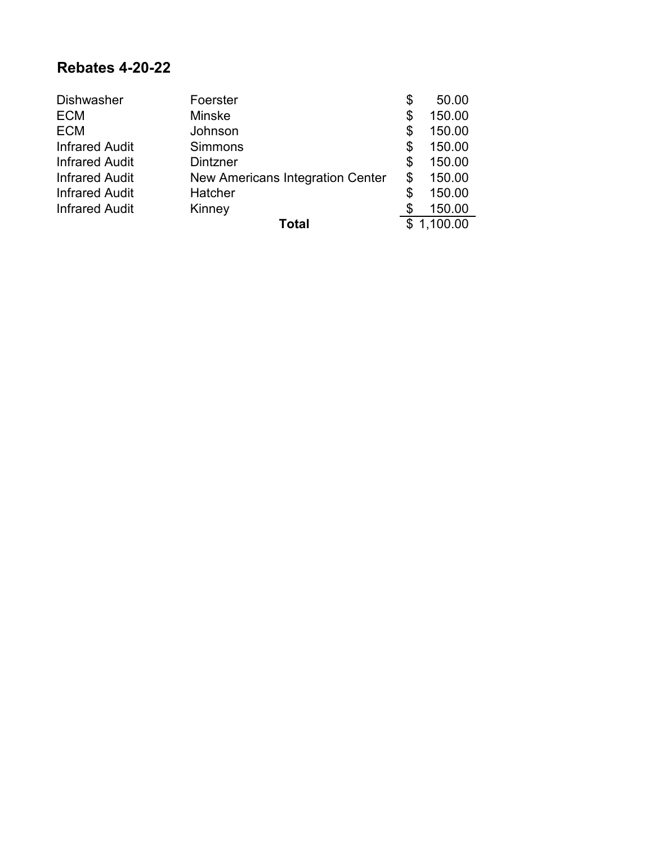#### **Rebates 4-20-22**

| <b>Dishwasher</b>     | Foerster                                | \$<br>50.00  |
|-----------------------|-----------------------------------------|--------------|
| <b>ECM</b>            | <b>Minske</b>                           | \$<br>150.00 |
| <b>ECM</b>            | Johnson                                 | \$<br>150.00 |
| <b>Infrared Audit</b> | <b>Simmons</b>                          | \$<br>150.00 |
| <b>Infrared Audit</b> | Dintzner                                | \$<br>150.00 |
| <b>Infrared Audit</b> | <b>New Americans Integration Center</b> | \$<br>150.00 |
| <b>Infrared Audit</b> | Hatcher                                 | \$<br>150.00 |
| <b>Infrared Audit</b> | Kinney                                  | 150.00       |
|                       | Total                                   | 1,100.00     |